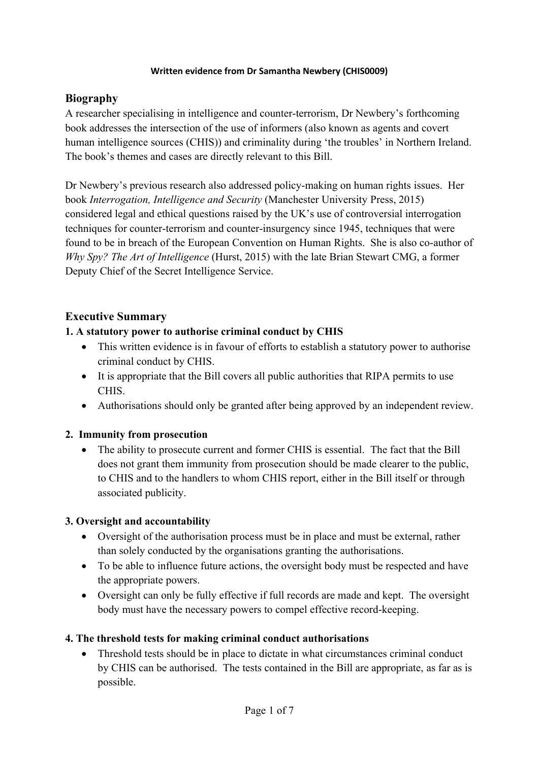#### **Written evidence from Dr Samantha Newbery (CHIS0009)**

## **Biography**

A researcher specialising in intelligence and counter-terrorism, Dr Newbery's forthcoming book addresses the intersection of the use of informers (also known as agents and covert human intelligence sources (CHIS)) and criminality during 'the troubles' in Northern Ireland. The book's themes and cases are directly relevant to this Bill.

Dr Newbery's previous research also addressed policy-making on human rights issues. Her book *Interrogation, Intelligence and Security* (Manchester University Press, 2015) considered legal and ethical questions raised by the UK's use of controversial interrogation techniques for counter-terrorism and counter-insurgency since 1945, techniques that were found to be in breach of the European Convention on Human Rights. She is also co-author of *Why Spy? The Art of Intelligence* (Hurst, 2015) with the late Brian Stewart CMG, a former Deputy Chief of the Secret Intelligence Service.

# **Executive Summary**

### **1. A statutory power to authorise criminal conduct by CHIS**

- This written evidence is in favour of efforts to establish a statutory power to authorise criminal conduct by CHIS.
- It is appropriate that the Bill covers all public authorities that RIPA permits to use CHIS.
- Authorisations should only be granted after being approved by an independent review.

### **2. Immunity from prosecution**

• The ability to prosecute current and former CHIS is essential. The fact that the Bill does not grant them immunity from prosecution should be made clearer to the public, to CHIS and to the handlers to whom CHIS report, either in the Bill itself or through associated publicity.

### **3. Oversight and accountability**

- Oversight of the authorisation process must be in place and must be external, rather than solely conducted by the organisations granting the authorisations.
- To be able to influence future actions, the oversight body must be respected and have the appropriate powers.
- Oversight can only be fully effective if full records are made and kept. The oversight body must have the necessary powers to compel effective record-keeping.

### **4. The threshold tests for making criminal conduct authorisations**

 Threshold tests should be in place to dictate in what circumstances criminal conduct by CHIS can be authorised. The tests contained in the Bill are appropriate, as far as is possible.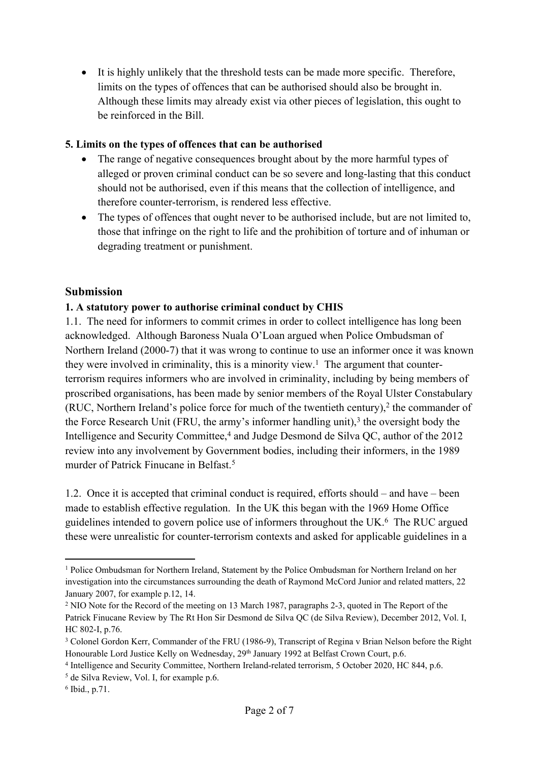It is highly unlikely that the threshold tests can be made more specific. Therefore, limits on the types of offences that can be authorised should also be brought in. Although these limits may already exist via other pieces of legislation, this ought to be reinforced in the Bill.

#### **5. Limits on the types of offences that can be authorised**

- The range of negative consequences brought about by the more harmful types of alleged or proven criminal conduct can be so severe and long-lasting that this conduct should not be authorised, even if this means that the collection of intelligence, and therefore counter-terrorism, is rendered less effective.
- The types of offences that ought never to be authorised include, but are not limited to, those that infringe on the right to life and the prohibition of torture and of inhuman or degrading treatment or punishment.

## **Submission**

### **1. A statutory power to authorise criminal conduct by CHIS**

1.1. The need for informers to commit crimes in order to collect intelligence has long been acknowledged. Although Baroness Nuala O'Loan argued when Police Ombudsman of Northern Ireland (2000-7) that it was wrong to continue to use an informer once it was known they were involved in criminality, this is a minority view.<sup>1</sup> The argument that counterterrorism requires informers who are involved in criminality, including by being members of proscribed organisations, has been made by senior members of the Royal Ulster Constabulary (RUC, Northern Ireland's police force for much of the twentieth century),<sup>2</sup> the commander of the Force Research Unit (FRU, the army's informer handling unit),<sup>3</sup> the oversight body the Intelligence and Security Committee,<sup>4</sup> and Judge Desmond de Silva QC, author of the 2012 review into any involvement by Government bodies, including their informers, in the 1989 murder of Patrick Finucane in Belfast<sup>5</sup>

1.2. Once it is accepted that criminal conduct is required, efforts should – and have – been made to establish effective regulation. In the UK this began with the 1969 Home Office guidelines intended to govern police use of informers throughout the UK.<sup>6</sup> The RUC argued these were unrealistic for counter-terrorism contexts and asked for applicable guidelines in a

<sup>1</sup> Police Ombudsman for Northern Ireland, Statement by the Police Ombudsman for Northern Ireland on her investigation into the circumstances surrounding the death of Raymond McCord Junior and related matters, 22 January 2007, for example p.12, 14.

<sup>2</sup> NIO Note for the Record of the meeting on 13 March 1987, paragraphs 2-3, quoted in The Report of the Patrick Finucane Review by The Rt Hon Sir Desmond de Silva QC (de Silva Review), December 2012, Vol. I, HC 802-I, p.76.

<sup>3</sup> Colonel Gordon Kerr, Commander of the FRU (1986-9), Transcript of Regina v Brian Nelson before the Right Honourable Lord Justice Kelly on Wednesday, 29<sup>th</sup> January 1992 at Belfast Crown Court, p.6.

<sup>4</sup> Intelligence and Security Committee, Northern Ireland-related terrorism, 5 October 2020, HC 844, p.6.

<sup>5</sup> de Silva Review, Vol. I, for example p.6.

<sup>6</sup> Ibid., p.71.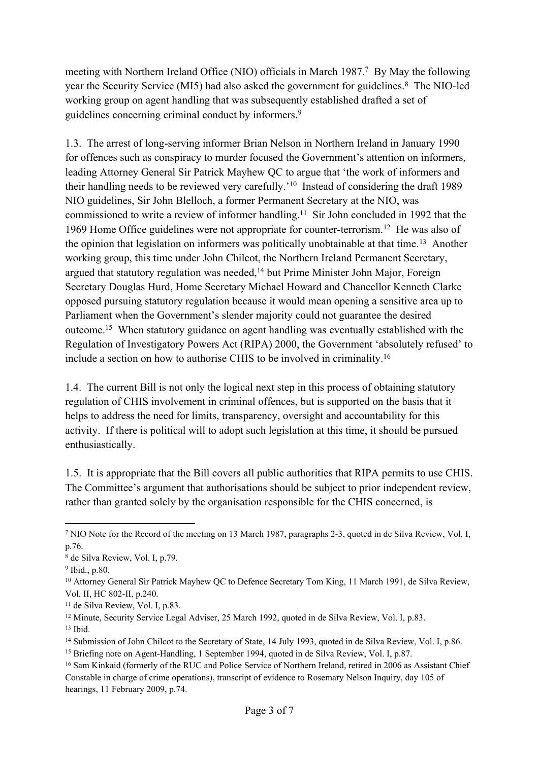meeting with Northern Ireland Office (NIO) officials in March 1987.<sup>7</sup> By May the following year the Security Service (MI5) had also asked the government for guidelines.<sup>8</sup> The NIO-led working group on agent handling that was subsequently established drafted a set of guidelines concerning criminal conduct by informers.<sup>9</sup>

1.3. The arrest of long-serving informer Brian Nelson in Northern Ireland in January 1990 for offences such as conspiracy to murder focused the Government's attention on informers, leading Attorney General Sir Patrick Mayhew QC to argue that 'the work of informers and their handling needs to be reviewed very carefully.'<sup>10</sup> Instead of considering the draft 1989 NIO guidelines, Sir John Blelloch, a former Permanent Secretary at the NIO, was commissioned to write a review of informer handling.<sup>11</sup> Sir John concluded in 1992 that the 1969 Home Office guidelines were not appropriate for counter-terrorism.<sup>12</sup> He was also of the opinion that legislation on informers was politically unobtainable at that time.<sup>13</sup> Another working group, this time under John Chilcot, the Northern Ireland Permanent Secretary, argued that statutory regulation was needed,<sup>14</sup> but Prime Minister John Major, Foreign Secretary Douglas Hurd, Home Secretary Michael Howard and Chancellor Kenneth Clarke opposed pursuing statutory regulation because it would mean opening a sensitive area up to Parliament when the Government's slender majority could not guarantee the desired outcome.<sup>15</sup> When statutory guidance on agent handling was eventually established with the Regulation of Investigatory Powers Act (RIPA) 2000, the Government 'absolutely refused' to include a section on how to authorise CHIS to be involved in criminality.<sup>16</sup>

1.4. The current Bill is not only the logical next step in this process of obtaining statutory regulation of CHIS involvement in criminal offences, but is supported on the basis that it helps to address the need for limits, transparency, oversight and accountability for this activity. If there is political will to adopt such legislation at this time, it should be pursued enthusiastically.

1.5. It is appropriate that the Bill covers all public authorities that RIPA permits to use CHIS. The Committee's argument that authorisations should be subject to prior independent review, rather than granted solely by the organisation responsible for the CHIS concerned, is

<sup>12</sup> Minute, Security Service Legal Adviser, 25 March 1992, quoted in de Silva Review, Vol. I, p.83.

<sup>7</sup> NIO Note for the Record of the meeting on 13 March 1987, paragraphs 2-3, quoted in de Silva Review, Vol. I, p.76.

<sup>8</sup> de Silva Review, Vol. I, p.79.

<sup>9</sup> Ibid., p.80.

<sup>&</sup>lt;sup>10</sup> Attorney General Sir Patrick Mayhew QC to Defence Secretary Tom King, 11 March 1991, de Silva Review, Vol. II, HC 802-II, p.240.

<sup>&</sup>lt;sup>11</sup> de Silva Review, Vol. I, p.83.

 $13$  Ibid.

<sup>14</sup> Submission of John Chilcot to the Secretary of State, 14 July 1993, quoted in de Silva Review, Vol. I, p.86.

<sup>15</sup> Briefing note on Agent-Handling, 1 September 1994, quoted in de Silva Review, Vol. I, p.87.

<sup>&</sup>lt;sup>16</sup> Sam Kinkaid (formerly of the RUC and Police Service of Northern Ireland, retired in 2006 as Assistant Chief Constable in charge of crime operations), transcript of evidence to Rosemary Nelson Inquiry, day 105 of hearings, 11 February 2009, p.74.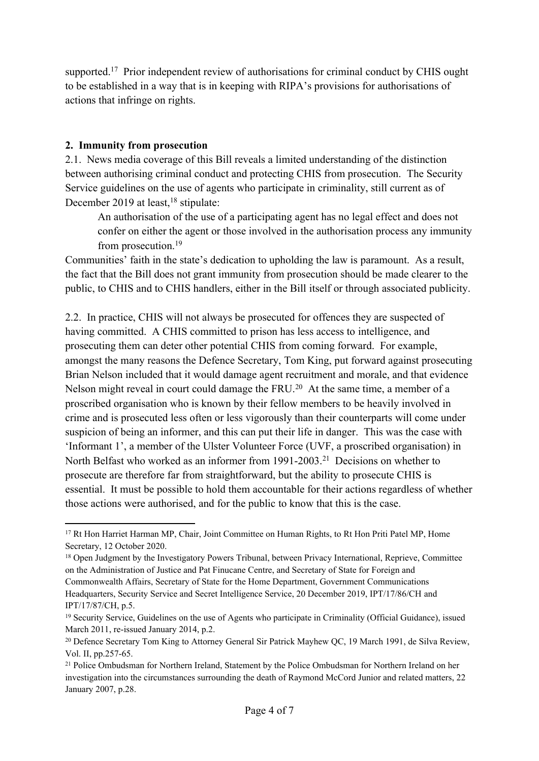supported.<sup>17</sup> Prior independent review of authorisations for criminal conduct by CHIS ought to be established in a way that is in keeping with RIPA's provisions for authorisations of actions that infringe on rights.

#### **2. Immunity from prosecution**

2.1. News media coverage of this Bill reveals a limited understanding of the distinction between authorising criminal conduct and protecting CHIS from prosecution. The Security Service guidelines on the use of agents who participate in criminality, still current as of December 2019 at least,<sup>18</sup> stipulate:

An authorisation of the use of a participating agent has no legal effect and does not confer on either the agent or those involved in the authorisation process any immunity from prosecution.<sup>19</sup>

Communities' faith in the state's dedication to upholding the law is paramount. As a result, the fact that the Bill does not grant immunity from prosecution should be made clearer to the public, to CHIS and to CHIS handlers, either in the Bill itself or through associated publicity.

2.2. In practice, CHIS will not always be prosecuted for offences they are suspected of having committed. A CHIS committed to prison has less access to intelligence, and prosecuting them can deter other potential CHIS from coming forward. For example, amongst the many reasons the Defence Secretary, Tom King, put forward against prosecuting Brian Nelson included that it would damage agent recruitment and morale, and that evidence Nelson might reveal in court could damage the FRU.<sup>20</sup> At the same time, a member of a proscribed organisation who is known by their fellow members to be heavily involved in crime and is prosecuted less often or less vigorously than their counterparts will come under suspicion of being an informer, and this can put their life in danger. This was the case with 'Informant 1', a member of the Ulster Volunteer Force (UVF, a proscribed organisation) in North Belfast who worked as an informer from 1991-2003.<sup>21</sup> Decisions on whether to prosecute are therefore far from straightforward, but the ability to prosecute CHIS is essential. It must be possible to hold them accountable for their actions regardless of whether those actions were authorised, and for the public to know that this is the case.

<sup>&</sup>lt;sup>17</sup> Rt Hon Harriet Harman MP, Chair, Joint Committee on Human Rights, to Rt Hon Priti Patel MP, Home Secretary, 12 October 2020.

<sup>&</sup>lt;sup>18</sup> Open Judgment by the Investigatory Powers Tribunal, between Privacy International, Reprieve, Committee on the Administration of Justice and Pat Finucane Centre, and Secretary of State for Foreign and Commonwealth Affairs, Secretary of State for the Home Department, Government Communications Headquarters, Security Service and Secret Intelligence Service, 20 December 2019, IPT/17/86/CH and IPT/17/87/CH, p.5.

<sup>19</sup> Security Service, Guidelines on the use of Agents who participate in Criminality (Official Guidance), issued March 2011, re-issued January 2014, p.2.

<sup>20</sup> Defence Secretary Tom King to Attorney General Sir Patrick Mayhew QC, 19 March 1991, de Silva Review, Vol. II, pp.257-65.

<sup>21</sup> Police Ombudsman for Northern Ireland, Statement by the Police Ombudsman for Northern Ireland on her investigation into the circumstances surrounding the death of Raymond McCord Junior and related matters, 22 January 2007, p.28.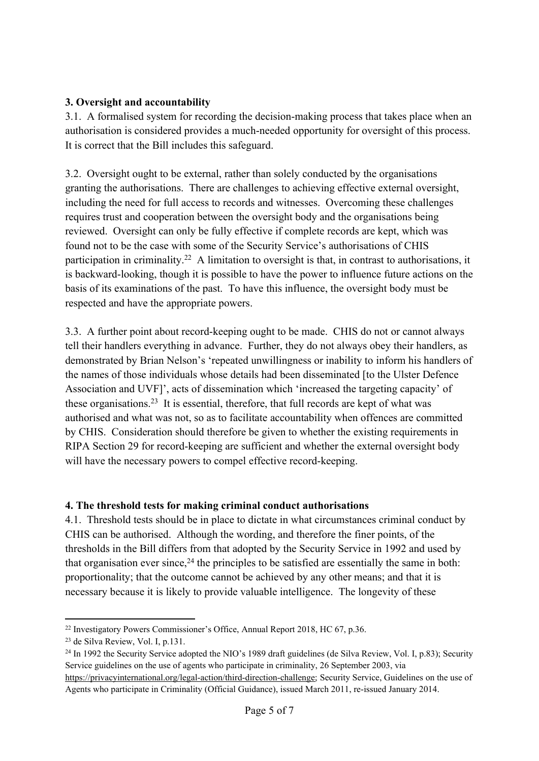## **3. Oversight and accountability**

3.1. A formalised system for recording the decision-making process that takes place when an authorisation is considered provides a much-needed opportunity for oversight of this process. It is correct that the Bill includes this safeguard.

3.2. Oversight ought to be external, rather than solely conducted by the organisations granting the authorisations. There are challenges to achieving effective external oversight, including the need for full access to records and witnesses. Overcoming these challenges requires trust and cooperation between the oversight body and the organisations being reviewed. Oversight can only be fully effective if complete records are kept, which was found not to be the case with some of the Security Service's authorisations of CHIS participation in criminality.<sup>22</sup> A limitation to oversight is that, in contrast to authorisations, it is backward-looking, though it is possible to have the power to influence future actions on the basis of its examinations of the past. To have this influence, the oversight body must be respected and have the appropriate powers.

3.3. A further point about record-keeping ought to be made. CHIS do not or cannot always tell their handlers everything in advance. Further, they do not always obey their handlers, as demonstrated by Brian Nelson's 'repeated unwillingness or inability to inform his handlers of the names of those individuals whose details had been disseminated [to the Ulster Defence Association and UVF]', acts of dissemination which 'increased the targeting capacity' of these organisations.<sup>23</sup> It is essential, therefore, that full records are kept of what was authorised and what was not, so as to facilitate accountability when offences are committed by CHIS. Consideration should therefore be given to whether the existing requirements in RIPA Section 29 for record-keeping are sufficient and whether the external oversight body will have the necessary powers to compel effective record-keeping.

### **4. The threshold tests for making criminal conduct authorisations**

4.1. Threshold tests should be in place to dictate in what circumstances criminal conduct by CHIS can be authorised. Although the wording, and therefore the finer points, of the thresholds in the Bill differs from that adopted by the Security Service in 1992 and used by that organisation ever since,  $24$  the principles to be satisfied are essentially the same in both: proportionality; that the outcome cannot be achieved by any other means; and that it is necessary because it is likely to provide valuable intelligence. The longevity of these

<sup>22</sup> Investigatory Powers Commissioner's Office, Annual Report 2018, HC 67, p.36.

<sup>23</sup> de Silva Review, Vol. I, p.131.

<sup>&</sup>lt;sup>24</sup> In 1992 the Security Service adopted the NIO's 1989 draft guidelines (de Silva Review, Vol. I, p.83); Security Service guidelines on the use of agents who participate in criminality, 26 September 2003, via [https://privacyinternational.org/legal-action/third-direction-challenge;](https://privacyinternational.org/legal-action/third-direction-challenge) Security Service, Guidelines on the use of Agents who participate in Criminality (Official Guidance), issued March 2011, re-issued January 2014.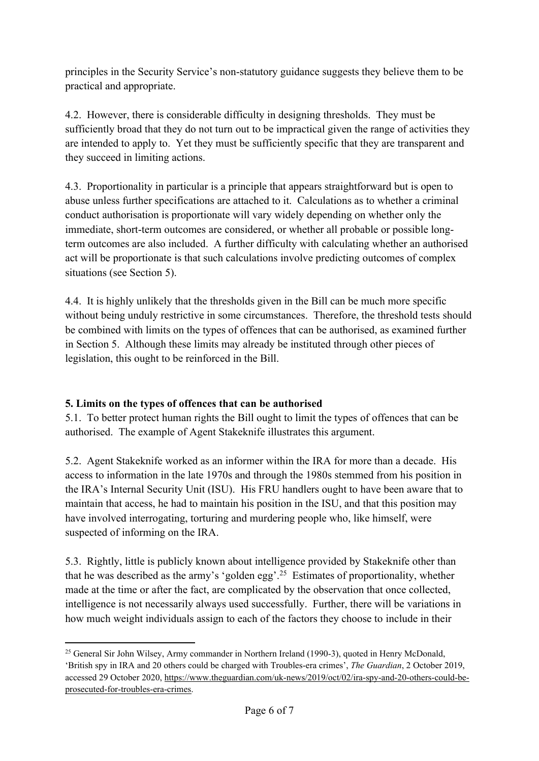principles in the Security Service's non-statutory guidance suggests they believe them to be practical and appropriate.

4.2. However, there is considerable difficulty in designing thresholds. They must be sufficiently broad that they do not turn out to be impractical given the range of activities they are intended to apply to. Yet they must be sufficiently specific that they are transparent and they succeed in limiting actions.

4.3. Proportionality in particular is a principle that appears straightforward but is open to abuse unless further specifications are attached to it. Calculations as to whether a criminal conduct authorisation is proportionate will vary widely depending on whether only the immediate, short-term outcomes are considered, or whether all probable or possible longterm outcomes are also included. A further difficulty with calculating whether an authorised act will be proportionate is that such calculations involve predicting outcomes of complex situations (see Section 5).

4.4. It is highly unlikely that the thresholds given in the Bill can be much more specific without being unduly restrictive in some circumstances. Therefore, the threshold tests should be combined with limits on the types of offences that can be authorised, as examined further in Section 5. Although these limits may already be instituted through other pieces of legislation, this ought to be reinforced in the Bill.

# **5. Limits on the types of offences that can be authorised**

5.1. To better protect human rights the Bill ought to limit the types of offences that can be authorised. The example of Agent Stakeknife illustrates this argument.

5.2. Agent Stakeknife worked as an informer within the IRA for more than a decade. His access to information in the late 1970s and through the 1980s stemmed from his position in the IRA's Internal Security Unit (ISU). His FRU handlers ought to have been aware that to maintain that access, he had to maintain his position in the ISU, and that this position may have involved interrogating, torturing and murdering people who, like himself, were suspected of informing on the IRA.

5.3. Rightly, little is publicly known about intelligence provided by Stakeknife other than that he was described as the army's 'golden egg'.<sup>25</sup> Estimates of proportionality, whether made at the time or after the fact, are complicated by the observation that once collected, intelligence is not necessarily always used successfully. Further, there will be variations in how much weight individuals assign to each of the factors they choose to include in their

<sup>25</sup> General Sir John Wilsey, Army commander in Northern Ireland (1990-3), quoted in Henry McDonald, 'British spy in IRA and 20 others could be charged with Troubles-era crimes', *The Guardian*, 2 October 2019, accessed 29 October 2020, [https://www.theguardian.com/uk-news/2019/oct/02/ira-spy-and-20-others-could-be](https://www.theguardian.com/uk-news/2019/oct/02/ira-spy-and-20-others-could-be-prosecuted-for-troubles-era-crimes)[prosecuted-for-troubles-era-crimes](https://www.theguardian.com/uk-news/2019/oct/02/ira-spy-and-20-others-could-be-prosecuted-for-troubles-era-crimes).